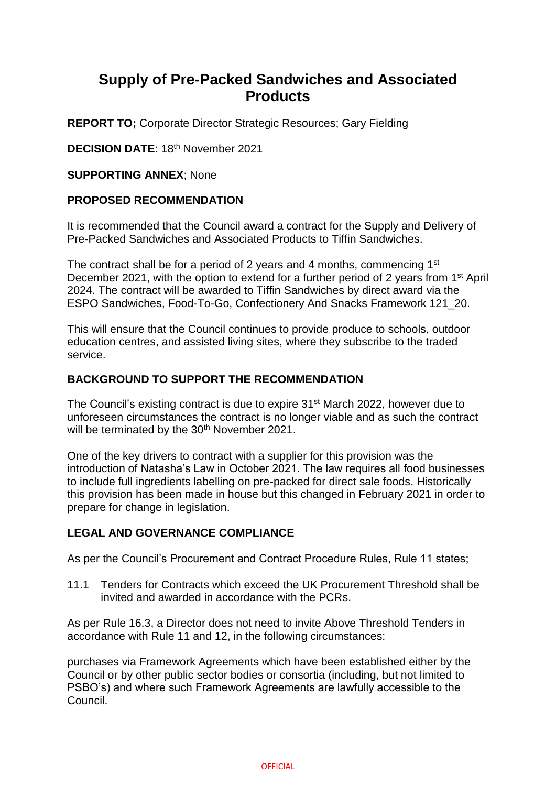# **Supply of Pre-Packed Sandwiches and Associated Products**

**REPORT TO;** Corporate Director Strategic Resources; Gary Fielding

**DECISION DATE: 18th November 2021** 

**SUPPORTING ANNEX**; None

### **PROPOSED RECOMMENDATION**

It is recommended that the Council award a contract for the Supply and Delivery of Pre-Packed Sandwiches and Associated Products to Tiffin Sandwiches.

The contract shall be for a period of 2 years and 4 months, commencing 1<sup>st</sup> December 2021, with the option to extend for a further period of 2 years from 1<sup>st</sup> April 2024. The contract will be awarded to Tiffin Sandwiches by direct award via the ESPO Sandwiches, Food-To-Go, Confectionery And Snacks Framework 121\_20.

This will ensure that the Council continues to provide produce to schools, outdoor education centres, and assisted living sites, where they subscribe to the traded service.

### **BACKGROUND TO SUPPORT THE RECOMMENDATION**

The Council's existing contract is due to expire 31<sup>st</sup> March 2022, however due to unforeseen circumstances the contract is no longer viable and as such the contract will be terminated by the 30<sup>th</sup> November 2021.

One of the key drivers to contract with a supplier for this provision was the introduction of Natasha's Law in October 2021. The law requires all food businesses to include full ingredients labelling on pre-packed for direct sale foods. Historically this provision has been made in house but this changed in February 2021 in order to prepare for change in legislation.

## **LEGAL AND GOVERNANCE COMPLIANCE**

As per the Council's Procurement and Contract Procedure Rules, Rule 11 states;

11.1 Tenders for Contracts which exceed the UK Procurement Threshold shall be invited and awarded in accordance with the PCRs.

As per Rule 16.3, a Director does not need to invite Above Threshold Tenders in accordance with Rule 11 and 12, in the following circumstances:

purchases via Framework Agreements which have been established either by the Council or by other public sector bodies or consortia (including, but not limited to PSBO's) and where such Framework Agreements are lawfully accessible to the Council.